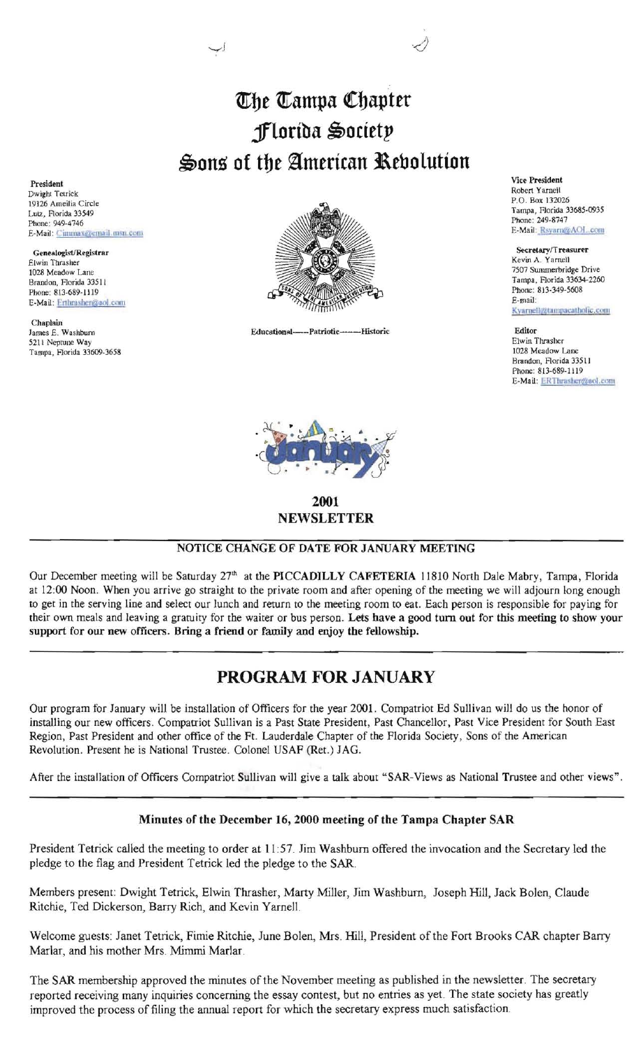## *The Tampa Chapter* **§lortba** ~octtt!'  $\clubsuit$ ons of the American Rebolution

President Dwight Tetrick 19126 Ameilia Circle Lutz, Florida 33549 Phone: 949-4746 E-Mail: Cimmax@email.msn.com

Genealogist/Registrar E-Mail: Erthrasher@aol.com

Chaplain<br>James E. Washburn 52ll Neptune Way Tampa, Rorida *33609-3658* 



Educational---Patriotic------Historic



2001 NEWSLETTER

NOTICE CHANGE OF DATE FOR JANUARY MEETING

Our December meeting will be Saturday 27<sup>th</sup> at the PICCADILLY CAFETERIA 11810 North Dale Mabry, Tampa, Florida at 12:00 Noon. When you arrive go straight to the private room and after opening of the meeting we will adjourn long enough to get in the serving line and select our lunch and return to the meeting room to eat. Each person is responsible for paying for their own meals and leaving a gratuity for the waiter or bus person. Lets have a good tum out for this meeting to show your support for our new officers. Bring a friend or family and enjoy the fellowship.

## PROGRAM FOR JANUARY

Our program for January will be installation of Officers for the year 2001. Compatriot Ed Sullivan will do us the honor of installing our new officers. Compatriot Sullivan is a Past State President, Past Chancellor, Past Vice President for South East Region, Past President and other office of the Ft. Lauderdale Chapter of the Florida Society, Sons of the American Revolution. Present he is National Trustee. Colonel USAF (Ret.) JAG.

After the installation of Officers Compatriot Sullivan will give a talk about "SAR-Views as National Trustee and other views".

## Minutes of the December 16, 2000 meeting of the Tampa Chapter SAR

President Tetrick called the meeting to order at 11 :57. Jim Washburn offered the invocation and the Secretary led the pledge to the flag and President Tetrick led the pledge to the SAR.

Members present: Dwight Tetrick, Elwin Thrasher, Marty Miller, Jim Washburn, Joseph Hill, Jack Bolen, Claude Ritchie, Ted Dickerson, Barry Rich, and Kevin Yarnell.

Welcome guests: Janet Tetrick, Fimie Ritchie, June Bolen, Mrs. Hill, President of the Fort Brooks CAR chapter Bany Marlar, and his mother Mrs. Mimmi Marlar.

The SAR membership approved the minutes of the November meeting as published in the newsletter. The secretary reported receiving many inquiries concerning the essay contest, but no entries as yet. The state society has greatly improved the process offiling the annual report for which the secretary express much satisfaction.

Vice President Robert Yamell P.O. Box 132026 Tampa, Horida *33685-0935*  Phone: 249-8747 E-Mail: Rsyarn@AOL.com

Kevin A. Yarnell Kyarnell@tampacatholic.com

Editor Elwin Thrasher 1028 Meadow Lane Brandon, Florida 33511 Phone: 813-689-1119 E-Mail: ERThrasher@aol.com